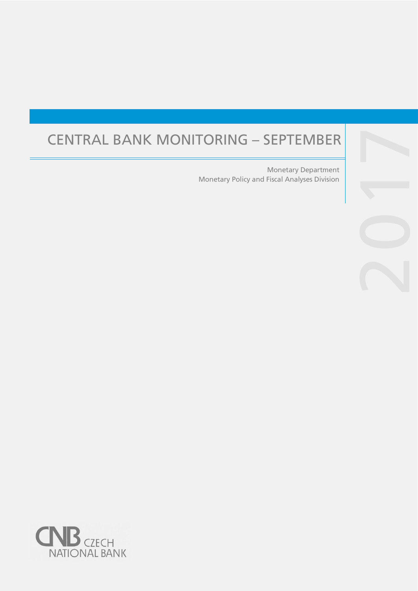# CENTRAL BANK MONITORING – SEPTEMBER

Monetary Policy and Fiscal Analyses Division Monetary Department

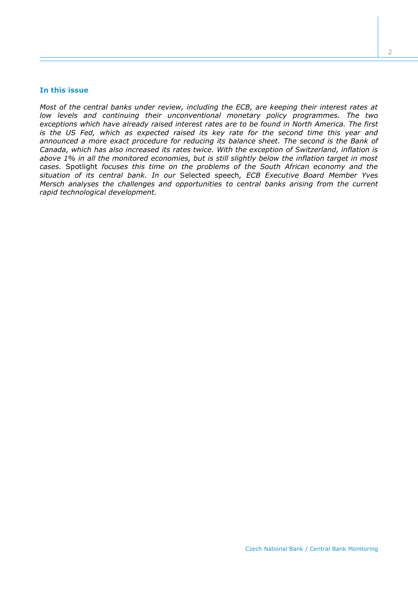#### **In this issue**

*Most of the central banks under review, including the ECB, are keeping their interest rates at low levels and continuing their unconventional monetary policy programmes. The two exceptions which have already raised interest rates are to be found in North America. The first is the US Fed, which as expected raised its key rate for the second time this year and announced a more exact procedure for reducing its balance sheet. The second is the Bank of Canada, which has also increased its rates twice. With the exception of Switzerland, inflation is above 1% in all the monitored economies, but is still slightly below the inflation target in most cases.* Spotlight *focuses this time on the problems of the South African economy and the situation of its central bank. In our* Selected speech*, ECB Executive Board Member Yves Mersch analyses the challenges and opportunities to central banks arising from the current rapid technological development.*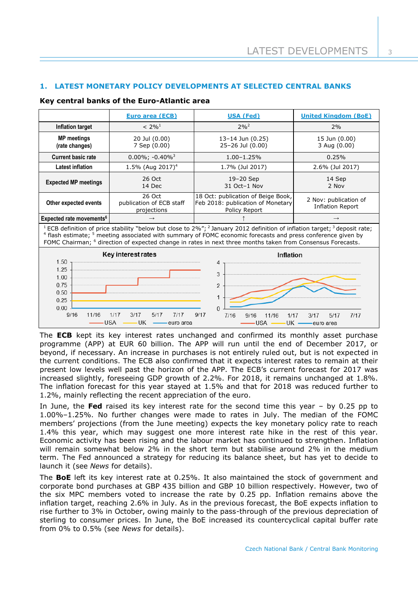# **1. LATEST MONETARY POLICY DEVELOPMENTS AT SELECTED CENTRAL BANKS**

## **Key central banks of the Euro-Atlantic area**

|                                                                                                                                                                                                                                                                                                                                                                                                                              | Euro area (ECB)                                   | <b>USA (Fed)</b>                                                                         | <b>United Kingdom (BoE)</b>                      |  |  |  |  |
|------------------------------------------------------------------------------------------------------------------------------------------------------------------------------------------------------------------------------------------------------------------------------------------------------------------------------------------------------------------------------------------------------------------------------|---------------------------------------------------|------------------------------------------------------------------------------------------|--------------------------------------------------|--|--|--|--|
| Inflation target                                                                                                                                                                                                                                                                                                                                                                                                             | $< 2\%$ <sup>1</sup>                              | $2\%^{2}$                                                                                | 2%                                               |  |  |  |  |
| <b>MP</b> meetings<br>(rate changes)                                                                                                                                                                                                                                                                                                                                                                                         | 20 Jul (0.00)<br>7 Sep (0.00)                     | 13-14 Jun (0.25)<br>25-26 Jul (0.00)                                                     | 15 Jun (0.00)<br>3 Aug (0.00)                    |  |  |  |  |
| <b>Current basic rate</b>                                                                                                                                                                                                                                                                                                                                                                                                    | $0.00\%$ ; -0.40% <sup>3</sup>                    | $1.00 - 1.25%$                                                                           | 0.25%                                            |  |  |  |  |
| Latest inflation                                                                                                                                                                                                                                                                                                                                                                                                             | 1.5% (Aug 2017) <sup>4</sup>                      | 1.7% (Jul 2017)                                                                          | 2.6% (Jul 2017)                                  |  |  |  |  |
| <b>Expected MP meetings</b>                                                                                                                                                                                                                                                                                                                                                                                                  | 26 Oct<br>14 Dec                                  | 19-20 Sep<br>31 Oct-1 Nov                                                                | 14 Sep<br>2 Nov                                  |  |  |  |  |
| Other expected events                                                                                                                                                                                                                                                                                                                                                                                                        | 26 Oct<br>publication of ECB staff<br>projections | 18 Oct: publication of Beige Book,<br>Feb 2018: publication of Monetary<br>Policy Report | 2 Nov: publication of<br><b>Inflation Report</b> |  |  |  |  |
| Expected rate movements <sup>6</sup>                                                                                                                                                                                                                                                                                                                                                                                         | $\rightarrow$                                     |                                                                                          | $\rightarrow$                                    |  |  |  |  |
| <sup>1</sup> ECB definition of price stability "below but close to 2%"; <sup>2</sup> January 2012 definition of inflation target; <sup>3</sup> deposit rate;<br><sup>4</sup> flash estimate; <sup>5</sup> meeting associated with summary of FOMC economic forecasts and press conference given by<br>FOMC Chairman; <sup>6</sup> direction of expected change in rates in next three months taken from Consensus Forecasts. |                                                   |                                                                                          |                                                  |  |  |  |  |
| Key interest rates<br>Inflation                                                                                                                                                                                                                                                                                                                                                                                              |                                                   |                                                                                          |                                                  |  |  |  |  |
| 1.50<br>4<br>1.25<br>3<br>1.00<br>0.75<br>2<br>0.50<br>1<br>0.25<br>0.00<br>$\Omega$<br>9/16<br>9/17<br>11/16<br>1/17<br>3/17<br>5/17<br>7/17<br>7/16<br>1/17<br>9/16<br>11/16<br>3/17<br>7/17<br>5/17<br><b>UK</b><br><b>USA</b><br>UK -<br><b>USA</b><br>-euro area<br>—euro area                                                                                                                                          |                                                   |                                                                                          |                                                  |  |  |  |  |

The **ECB** kept its key interest rates unchanged and confirmed its monthly asset purchase programme (APP) at EUR 60 billion. The APP will run until the end of December 2017, or beyond, if necessary. An increase in purchases is not entirely ruled out, but is not expected in the current conditions. The ECB also confirmed that it expects interest rates to remain at their present low levels well past the horizon of the APP. The ECB's current forecast for 2017 was increased slightly, foreseeing GDP growth of 2.2%. For 2018, it remains unchanged at 1.8%. The inflation forecast for this year stayed at 1.5% and that for 2018 was reduced further to 1.2%, mainly reflecting the recent appreciation of the euro.

In June, the **Fed** raised its key interest rate for the second time this year – by 0.25 pp to 1.00%–1.25%. No further changes were made to rates in July. The median of the FOMC members' projections (from the June meeting) expects the key monetary policy rate to reach 1.4% this year, which may suggest one more interest rate hike in the rest of this year. Economic activity has been rising and the labour market has continued to strengthen. Inflation will remain somewhat below 2% in the short term but stabilise around 2% in the medium term. The Fed announced a strategy for reducing its balance sheet, but has yet to decide to launch it (see *News* for details).

The **BoE** left its key interest rate at 0.25%. It also maintained the stock of government and corporate bond purchases at GBP 435 billion and GBP 10 billion respectively. However, two of the six MPC members voted to increase the rate by 0.25 pp. Inflation remains above the inflation target, reaching 2.6% in July. As in the previous forecast, the BoE expects inflation to rise further to 3% in October, owing mainly to the pass-through of the previous depreciation of sterling to consumer prices. In June, the BoE increased its countercyclical capital buffer rate from 0% to 0.5% (see *News* for details).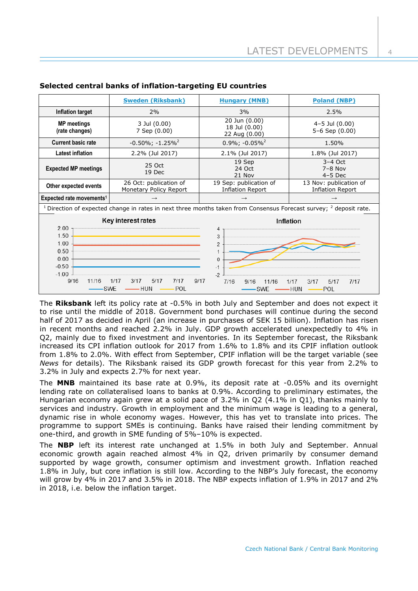|                                                                                                                                                                                                                                                                   | <b>Sweden (Riksbank)</b>                         | <b>Hungary (MNB)</b>                              | <b>Poland (NBP)</b>                               |  |  |  |
|-------------------------------------------------------------------------------------------------------------------------------------------------------------------------------------------------------------------------------------------------------------------|--------------------------------------------------|---------------------------------------------------|---------------------------------------------------|--|--|--|
| Inflation target                                                                                                                                                                                                                                                  | 2%                                               | 3%                                                | 2.5%                                              |  |  |  |
| <b>MP</b> meetings<br>(rate changes)                                                                                                                                                                                                                              | 3 Jul (0.00)<br>7 Sep (0.00)                     | 20 Jun (0.00)<br>18 Jul (0.00)<br>22 Aug (0.00)   | $4 - 5$ Jul $(0.00)$<br>5-6 Sep (0.00)            |  |  |  |
| <b>Current basic rate</b>                                                                                                                                                                                                                                         | $-0.50\%$ ; $-1.25\%$ <sup>2</sup>               | $0.9\%$ ; -0.05% <sup>2</sup>                     | 1.50%                                             |  |  |  |
| <b>Latest inflation</b>                                                                                                                                                                                                                                           | 2.2% (Jul 2017)                                  | 2.1% (Jul 2017)                                   | 1.8% (Jul 2017)                                   |  |  |  |
| <b>Expected MP meetings</b>                                                                                                                                                                                                                                       | 25 Oct<br>19 Dec                                 | 19 Sep<br>24 Oct<br>21 Nov                        | $3-4$ Oct<br>$7-8$ Nov<br>$4-5$ Dec               |  |  |  |
| Other expected events                                                                                                                                                                                                                                             | 26 Oct: publication of<br>Monetary Policy Report | 19 Sep: publication of<br><b>Inflation Report</b> | 13 Nov: publication of<br><b>Inflation Report</b> |  |  |  |
| Expected rate movements <sup>1</sup>                                                                                                                                                                                                                              | $\rightarrow$                                    | $\rightarrow$                                     | $\rightarrow$                                     |  |  |  |
| <sup>1</sup> Direction of expected change in rates in next three months taken from Consensus Forecast survey; $^2$ deposit rate.                                                                                                                                  |                                                  |                                                   |                                                   |  |  |  |
| Key interest rates<br><b>Inflation</b><br>2.00<br>4<br>1.50<br>3<br>1.00<br>2<br>0.50<br>0.00<br>$\Omega$<br>$-0.50$<br>$-1$<br>$-1.00$<br>$-2$<br>5/17<br>9/16<br>11/16<br>1/17<br>3/17<br>7/17<br>9/17<br>7/16<br>1/17<br>9/16<br>11/16<br>3/17<br>5/17<br>7/17 |                                                  |                                                   |                                                   |  |  |  |
|                                                                                                                                                                                                                                                                   | POL<br><b>SWE</b><br>— HUN                       | <b>SWE</b>                                        | -HUN<br>$\rightharpoonup$ POL                     |  |  |  |

## **Selected central banks of inflation-targeting EU countries**

The **Riksbank** left its policy rate at -0.5% in both July and September and does not expect it to rise until the middle of 2018. Government bond purchases will continue during the second half of 2017 as decided in April (an increase in purchases of SEK 15 billion). Inflation has risen in recent months and reached 2.2% in July. GDP growth accelerated unexpectedly to 4% in Q2, mainly due to fixed investment and inventories. In its September forecast, the Riksbank increased its CPI inflation outlook for 2017 from 1.6% to 1.8% and its CPIF inflation outlook from 1.8% to 2.0%. With effect from September, CPIF inflation will be the target variable (see *News* for details). The Riksbank raised its GDP growth forecast for this year from 2.2% to 3.2% in July and expects 2.7% for next year.

The **MNB** maintained its base rate at 0.9%, its deposit rate at -0.05% and its overnight lending rate on collateralised loans to banks at 0.9%. According to preliminary estimates, the Hungarian economy again grew at a solid pace of 3.2% in Q2 (4.1% in Q1), thanks mainly to services and industry. Growth in employment and the minimum wage is leading to a general, dynamic rise in whole economy wages. However, this has yet to translate into prices. The programme to support SMEs is continuing. Banks have raised their lending commitment by one-third, and growth in SME funding of 5%–10% is expected.

The **NBP** left its interest rate unchanged at 1.5% in both July and September. Annual economic growth again reached almost 4% in Q2, driven primarily by consumer demand supported by wage growth, consumer optimism and investment growth. Inflation reached 1.8% in July, but core inflation is still low. According to the NBP's July forecast, the economy will grow by 4% in 2017 and 3.5% in 2018. The NBP expects inflation of 1.9% in 2017 and 2% in 2018, i.e. below the inflation target.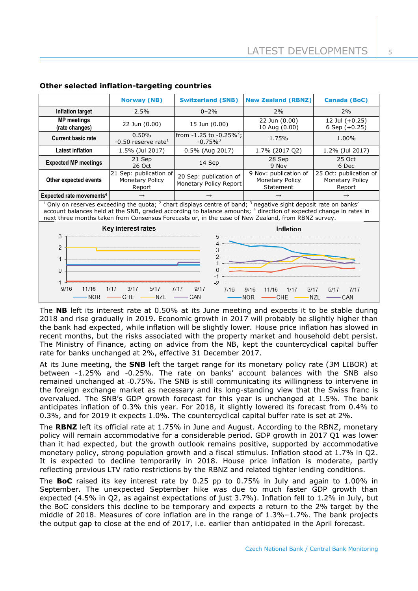|                                                                                                                                                                                                                                                                                                                                                                              | <b>Norway (NB)</b>                                  | <b>Switzerland (SNB)</b>                                | <b>New Zealand (RBNZ)</b>                             | <b>Canada (BoC)</b>                                        |  |  |  |
|------------------------------------------------------------------------------------------------------------------------------------------------------------------------------------------------------------------------------------------------------------------------------------------------------------------------------------------------------------------------------|-----------------------------------------------------|---------------------------------------------------------|-------------------------------------------------------|------------------------------------------------------------|--|--|--|
| Inflation target                                                                                                                                                                                                                                                                                                                                                             | 2.5%                                                | $0 - 2%$                                                | 2%                                                    | 2%                                                         |  |  |  |
| <b>MP</b> meetings<br>(rate changes)                                                                                                                                                                                                                                                                                                                                         | 22 Jun (0.00)                                       | 15 Jun (0.00)                                           | 22 Jun (0.00)<br>10 Aug (0.00)                        | 12 Jul (+0.25)<br>6 Sep $(+0.25)$                          |  |  |  |
| <b>Current basic rate</b>                                                                                                                                                                                                                                                                                                                                                    | 0.50%<br>-0.50 reserve rate $1$                     | from $-1.25$ to $-0.25\%^2$ ;<br>$-0.75\%$ <sup>3</sup> | 1.75%                                                 | 1.00%                                                      |  |  |  |
| <b>Latest inflation</b>                                                                                                                                                                                                                                                                                                                                                      | 1.5% (Jul 2017)                                     | 0.5% (Aug 2017)                                         | 1.7% (2017 Q2)                                        | 1.2% (Jul 2017)                                            |  |  |  |
| <b>Expected MP meetings</b>                                                                                                                                                                                                                                                                                                                                                  | 21 Sep<br>26 Oct                                    | 14 Sep                                                  | 28 Sep<br>9 Nov                                       | 25 Oct<br>6 Dec                                            |  |  |  |
| Other expected events                                                                                                                                                                                                                                                                                                                                                        | 21 Sep: publication of<br>Monetary Policy<br>Report | 20 Sep: publication of<br>Monetary Policy Report        | 9 Nov: publication of<br>Monetary Policy<br>Statement | 25 Oct: publication of<br><b>Monetary Policy</b><br>Report |  |  |  |
| Expected rate movements <sup>4</sup>                                                                                                                                                                                                                                                                                                                                         |                                                     |                                                         |                                                       |                                                            |  |  |  |
| <sup>1</sup> Only on reserves exceeding the quota; <sup>2</sup> chart displays centre of band; <sup>3</sup> negative sight deposit rate on banks'<br>account balances held at the SNB, graded according to balance amounts; 4 direction of expected change in rates in<br>next three months taken from Consensus Forecasts or, in the case of New Zealand, from RBNZ survey. |                                                     |                                                         |                                                       |                                                            |  |  |  |
| Key interest rates<br>Inflation<br>3<br>5<br>4<br>$\overline{2}$<br>3<br>2<br>1<br>$\Omega$<br>$\Omega$<br>$-1$<br>$-2$<br>$-1$<br>9/16<br>11/16<br>1/17<br>5/17<br>9/17<br>3/17<br>7/17<br>7/16<br>9/16<br>3/17<br>11/16<br>1/17<br>7/17<br>5/17<br><b>NZL</b><br>CHE<br>CAN<br><b>NOR</b><br><b>NOR</b><br><b>NZL</b><br>– CAN<br>CHE                                      |                                                     |                                                         |                                                       |                                                            |  |  |  |

## **Other selected inflation-targeting countries**

The **NB** left its interest rate at 0.50% at its June meeting and expects it to be stable during 2018 and rise gradually in 2019. Economic growth in 2017 will probably be slightly higher than the bank had expected, while inflation will be slightly lower. House price inflation has slowed in recent months, but the risks associated with the property market and household debt persist. The Ministry of Finance, acting on advice from the NB, kept the countercyclical capital buffer rate for banks unchanged at 2%, effective 31 December 2017.

At its June meeting, the **SNB** left the target range for its monetary policy rate (3M LIBOR) at between -1.25% and -0.25%. The rate on banks' account balances with the SNB also remained unchanged at -0.75%. The SNB is still communicating its willingness to intervene in the foreign exchange market as necessary and its long-standing view that the Swiss franc is overvalued. The SNB's GDP growth forecast for this year is unchanged at 1.5%. The bank anticipates inflation of 0.3% this year. For 2018, it slightly lowered its forecast from 0.4% to 0.3%, and for 2019 it expects 1.0%. The countercyclical capital buffer rate is set at 2%.

The **RBNZ** left its official rate at 1.75% in June and August. According to the RBNZ, monetary policy will remain accommodative for a considerable period. GDP growth in 2017 Q1 was lower than it had expected, but the growth outlook remains positive, supported by accommodative monetary policy, strong population growth and a fiscal stimulus. Inflation stood at 1.7% in Q2. It is expected to decline temporarily in 2018. House price inflation is moderate, partly reflecting previous LTV ratio restrictions by the RBNZ and related tighter lending conditions.

The **BoC** raised its key interest rate by 0.25 pp to 0.75% in July and again to 1.00% in September. The unexpected September hike was due to much faster GDP growth than expected (4.5% in Q2, as against expectations of just 3.7%). Inflation fell to 1.2% in July, but the BoC considers this decline to be temporary and expects a return to the 2% target by the middle of 2018. Measures of core inflation are in the range of 1.3%–1.7%. The bank projects the output gap to close at the end of 2017, i.e. earlier than anticipated in the April forecast.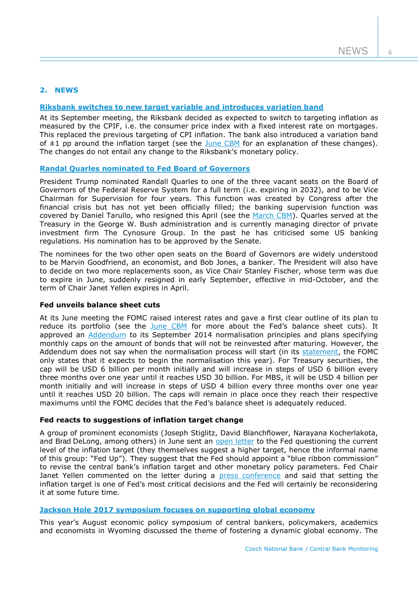# **2. NEWS**

# **Riksbank [switches to new target variable and introduces variation band](http://www.riksbank.se/en/Press-and-published/Press-Releases/2017/CPIF-target-variable-for-monetary-policy-/)**

At its September meeting, the Riksbank decided as expected to switch to targeting inflation as measured by the CPIF, i.e. the consumer price index with a fixed interest rate on mortgages. This replaced the previous targeting of CPI inflation. The bank also introduced a variation band of  $\pm 1$  pp around the inflation target (see the [June CBM](http://www.cnb.cz/miranda2/export/sites/www.cnb.cz/en/monetary_policy/monitoring/download/1702_cbm.pdf) for an explanation of these changes). The changes do not entail any change to the Riksbank's monetary policy.

# **Randal [Quarles nominated to Fed Board of Governors](https://www.whitehouse.gov/the-press-office/2017/07/10/president-donald-j-trump-announces-key-additions-his-administration)**

President Trump nominated Randall Quarles to one of the three vacant seats on the Board of Governors of the Federal Reserve System for a full term (i.e. expiring in 2032), and to be Vice Chairman for Supervision for four years. This function was created by Congress after the financial crisis but has not yet been officially filled; the banking supervision function was covered by Daniel Tarullo, who resigned this April (see the [March CBM\)](http://www.cnb.cz/miranda2/export/sites/www.cnb.cz/en/monetary_policy/monitoring/download/1701_cbm.pdf). Quarles served at the Treasury in the George W. Bush administration and is currently managing director of private investment firm The Cynosure Group. In the past he has criticised some US banking regulations. His nomination has to be approved by the Senate.

The nominees for the two other open seats on the Board of Governors are widely understood to be Marvin Goodfriend, an economist, and Bob Jones, a banker. The President will also have to decide on two more replacements soon, as Vice Chair Stanley Fischer, whose term was due to expire in June, suddenly resigned in early September, effective in mid-October, and the term of Chair Janet Yellen expires in April.

#### **Fed unveils balance sheet cuts**

At its June meeting the FOMC raised interest rates and gave a first clear outline of its plan to reduce its portfolio (see the [June CBM](http://www.cnb.cz/miranda2/export/sites/www.cnb.cz/en/monetary_policy/monitoring/download/1702_cbm.pdf) for more about the Fed's balance sheet cuts). It approved an [Addendum](https://www.federalreserve.gov/newsevents/pressreleases/files/monetary20170614c1.pdf) to its September 2014 normalisation principles and plans specifying monthly caps on the amount of bonds that will not be reinvested after maturing. However, the Addendum does not say when the normalisation process will start (in its [statement,](https://www.federalreserve.gov/newsevents/pressreleases/monetary20170614a.htm) the FOMC only states that it expects to begin the normalisation this year). For Treasury securities, the cap will be USD 6 billion per month initially and will increase in steps of USD 6 billion every three months over one year until it reaches USD 30 billion. For MBS, it will be USD 4 billion per month initially and will increase in steps of USD 4 billion every three months over one year until it reaches USD 20 billion. The caps will remain in place once they reach their respective maximums until the FOMC decides that the Fed's balance sheet is adequately reduced.

# **Fed reacts to suggestions of inflation target change**

A group of prominent economists (Joseph Stiglitz, David Blanchflower, Narayana Kocherlakota, and Brad DeLong, among others) in June sent an [open letter](https://populardemocracy.org/news-and-publications/prominent-economists-question-fed-inflation-target) to the Fed questioning the current level of the inflation target (they themselves suggest a higher target, hence the informal name of this group: "Fed Up"). They suggest that the Fed should appoint a "blue ribbon commission" to revise the central bank's inflation target and other monetary policy parameters. Fed Chair Janet Yellen commented on the letter during a [press conference](https://www.federalreserve.gov/mediacenter/files/FOMCpresconf20170614.pdf) and said that setting the inflation target is one of Fed's most critical decisions and the Fed will certainly be reconsidering it at some future time.

# **[Jackson Hole 2017 symposium focuses on supporting global economy](https://www.kansascityfed.org/publications/research/escp/symposiums/escp-2017)**

This year's August economic policy symposium of central bankers, policymakers, academics and economists in Wyoming discussed the theme of fostering a dynamic global economy. The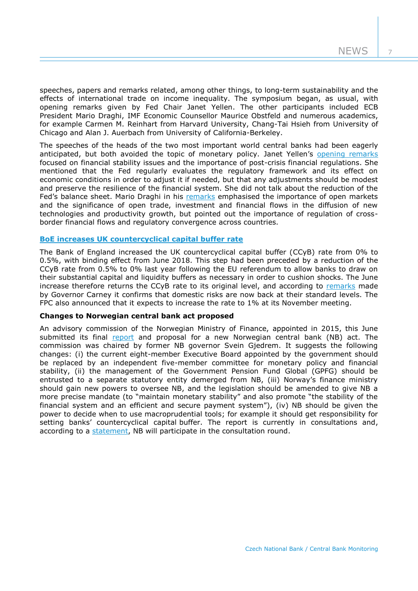speeches, papers and remarks related, among other things, to long-term sustainability and the effects of international trade on income inequality. The symposium began, as usual, with opening remarks given by Fed Chair Janet Yellen. The other participants included ECB President Mario Draghi, IMF Economic Counsellor Maurice Obstfeld and numerous academics, for example Carmen M. Reinhart from Harvard University, Chang-Tai Hsieh from University of Chicago and Alan J. Auerbach from University of California-Berkeley.

The speeches of the heads of the two most important world central banks had been eagerly anticipated, but both avoided the topic of monetary policy. Janet Yellen's [opening remarks](https://www.federalreserve.gov/newsevents/speech/files/yellen20170825a.pdf) focused on financial stability issues and the importance of post-crisis financial regulations. She mentioned that the Fed regularly evaluates the regulatory framework and its effect on economic conditions in order to adjust it if needed, but that any adjustments should be modest and preserve the resilience of the financial system. She did not talk about the reduction of the Fed's balance sheet. Mario Draghi in his [remarks](https://www.ecb.europa.eu/press/key/date/2017/html/ecb.sp170825.en.html) emphasised the importance of open markets and the significance of open trade, investment and financial flows in the diffusion of new technologies and productivity growth, but pointed out the importance of regulation of crossborder financial flows and regulatory convergence across countries.

## **BoE increases [UK countercyclical capital buffer](http://www.bankofengland.co.uk/publications/Documents/fsr/2017/fsrjun17.pdf) rate**

The Bank of England increased the UK countercyclical capital buffer (CCyB) rate from 0% to 0.5%, with binding effect from June 2018. This step had been preceded by a reduction of the CCyB rate from 0.5% to 0% last year following the EU referendum to allow banks to draw on their substantial capital and liquidity buffers as necessary in order to cushion shocks. The June increase therefore returns the CCyB rate to its original level, and according to [remarks](http://www.bankofengland.co.uk/publications/Documents/fsr/2017/fsrspnote270617.pdf) made by Governor Carney it confirms that domestic risks are now back at their standard levels. The FPC also announced that it expects to increase the rate to 1% at its November meeting.

#### **Changes to Norwegian central bank act proposed**

An advisory commission of the Norwegian Ministry of Finance, appointed in 2015, this June submitted its final [report](https://www.regjeringen.no/en/aktuelt/report-of-the-law-commission-on-the-act-relating-to-norges-bank-and-the-monetary-system/id2558679/) and proposal for a new Norwegian central bank (NB) act. The commission was chaired by former NB governor Svein Gjedrem. It suggests the following changes: (i) the current eight-member Executive Board appointed by the government should be replaced by an independent five-member committee for monetary policy and financial stability, (ii) the management of the Government Pension Fund Global (GPFG) should be entrusted to a separate statutory entity demerged from NB, (iii) Norway's finance ministry should gain new powers to oversee NB, and the legislation should be amended to give NB a more precise mandate (to "maintain monetary stability" and also promote "the stability of the financial system and an efficient and secure payment system"), (iv) NB should be given the power to decide when to use macroprudential tools; for example it should get responsibility for setting banks' countercyclical capital buffer. The report is currently in consultations and, according to a [statement,](http://www.norges-bank.no/en/Published/News-archive/2017/2017-06-23-commission/) NB will participate in the consultation round.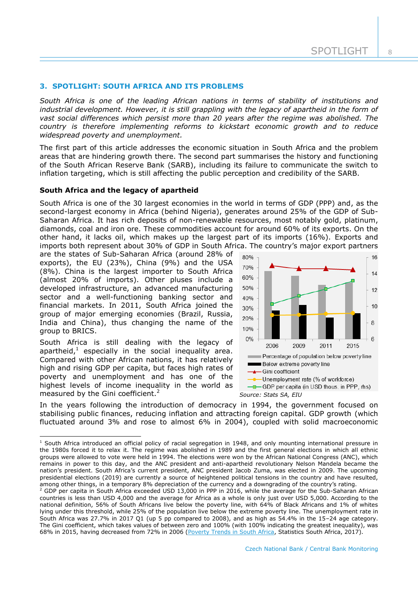## **3. SPOTLIGHT: SOUTH AFRICA AND ITS PROBLEMS**

*South Africa is one of the leading African nations in terms of stability of institutions and industrial development. However, it is still grappling with the legacy of apartheid in the form of vast social differences which persist more than 20 years after the regime was abolished. The country is therefore implementing reforms to kickstart economic growth and to reduce widespread poverty and unemployment.*

The first part of this article addresses the economic situation in South Africa and the problem areas that are hindering growth there. The second part summarises the history and functioning of the South African Reserve Bank (SARB), including its failure to communicate the switch to inflation targeting, which is still affecting the public perception and credibility of the SARB.

#### **South Africa and the legacy of apartheid**

South Africa is one of the 30 largest economies in the world in terms of GDP (PPP) and, as the second-largest economy in Africa (behind Nigeria), generates around 25% of the GDP of Sub-Saharan Africa. It has rich deposits of non-renewable resources, most notably gold, platinum, diamonds, coal and iron ore. These commodities account for around 60% of its exports. On the other hand, it lacks oil, which makes up the largest part of its imports (16%). Exports and imports both represent about 30% of GDP in South Africa. The country's major export partners

are the states of Sub-Saharan Africa (around 28% of exports), the EU (23%), China (9%) and the USA (8%). China is the largest importer to South Africa (almost 20% of imports). Other pluses include a developed infrastructure, an advanced manufacturing sector and a well-functioning banking sector and financial markets. In 2011, South Africa joined the group of major emerging economies (Brazil, Russia, India and China), thus changing the name of the group to BRICS.

South Africa is still dealing with the legacy of apartheid, $<sup>1</sup>$  especially in the social inequality area.</sup> Compared with other African nations, it has relatively high and rising GDP per capita, but faces high rates of poverty and unemployment and has one of the highest levels of income inequality in the world as measured by the Gini coefficient.<sup>2</sup>

-



In the years following the introduction of democracy in 1994, the government focused on stabilising public finances, reducing inflation and attracting foreign capital. GDP growth (which fluctuated around 3% and rose to almost 6% in 2004), coupled with solid macroeconomic

 $1$  South Africa introduced an official policy of racial segregation in 1948, and only mounting international pressure in the 1980s forced it to relax it. The regime was abolished in 1989 and the first general elections in which all ethnic groups were allowed to vote were held in 1994. The elections were won by the African National Congress (ANC), which remains in power to this day, and the ANC president and anti-apartheid revolutionary Nelson Mandela became the nation's president. South Africa's current president, ANC president Jacob Zuma, was elected in 2009. The upcoming presidential elections (2019) are currently a source of heightened political tensions in the country and have resulted, among other things, in a temporary 8% depreciation of the currency and a downgrading of the country's rating.

<sup>&</sup>lt;sup>2</sup> GDP per capita in South Africa exceeded USD 13,000 in PPP in 2016, while the average for the Sub-Saharan African countries is less than USD 4,000 and the average for Africa as a whole is only just over USD 5,000. According to the national definition, 56% of South Africans live below the poverty line, with 64% of Black Africans and 1% of whites lying under this threshold, while 25% of the population live below the extreme poverty line. The unemployment rate in South Africa was 27.7% in 2017 Q1 (up 5 pp compared to 2008), and as high as 54.4% in the 15–24 age category. The Gini coefficient, which takes values of between zero and 100% (with 100% indicating the greatest inequality), was 68% in 2015, having decreased from 72% in 2006 [\(Poverty Trends in South Africa,](http://www.statssa.gov.za/publications/Report-03-10-06/Report-03-10-062015.pdf) Statistics South Africa, 2017).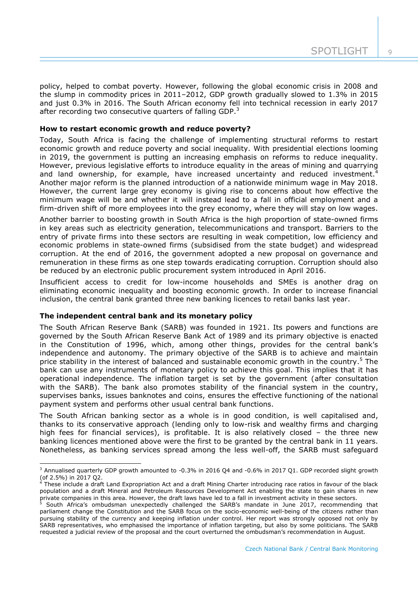$\overline{Q}$ 

policy, helped to combat poverty. However, following the global economic crisis in 2008 and the slump in commodity prices in 2011–2012, GDP growth gradually slowed to 1.3% in 2015 and just 0.3% in 2016. The South African economy fell into technical recession in early 2017 after recording two consecutive quarters of falling GDP. $3$ 

## **How to restart economic growth and reduce poverty?**

Today, South Africa is facing the challenge of implementing structural reforms to restart economic growth and reduce poverty and social inequality. With presidential elections looming in 2019, the government is putting an increasing emphasis on reforms to reduce inequality. However, previous legislative efforts to introduce equality in the areas of mining and quarrying and land ownership, for example, have increased uncertainty and reduced investment.<sup>4</sup> Another major reform is the planned introduction of a nationwide minimum wage in May 2018. However, the current large grey economy is giving rise to concerns about how effective the minimum wage will be and whether it will instead lead to a fall in official employment and a firm-driven shift of more employees into the grey economy, where they will stay on low wages.

Another barrier to boosting growth in South Africa is the high proportion of state-owned firms in key areas such as electricity generation, telecommunications and transport. Barriers to the entry of private firms into these sectors are resulting in weak competition, low efficiency and economic problems in state-owned firms (subsidised from the state budget) and widespread corruption. At the end of 2016, the government adopted a new proposal on governance and remuneration in these firms as one step towards eradicating corruption. Corruption should also be reduced by an electronic public procurement system introduced in April 2016.

Insufficient access to credit for low-income households and SMEs is another drag on eliminating economic inequality and boosting economic growth. In order to increase financial inclusion, the central bank granted three new banking licences to retail banks last year.

#### **The independent central bank and its monetary policy**

-

The South African Reserve Bank (SARB) was founded in 1921. Its powers and functions are governed by the South African Reserve Bank Act of 1989 and its primary objective is enacted in the Constitution of 1996, which, among other things, provides for the central bank's independence and autonomy. The primary objective of the SARB is to achieve and maintain price stability in the interest of balanced and sustainable economic growth in the country.<sup>5</sup> The bank can use any instruments of monetary policy to achieve this goal. This implies that it has operational independence. The inflation target is set by the government (after consultation with the SARB). The bank also promotes stability of the financial system in the country, supervises banks, issues banknotes and coins, ensures the effective functioning of the national payment system and performs other usual central bank functions.

The South African banking sector as a whole is in good condition, is well capitalised and, thanks to its conservative approach (lending only to low-risk and wealthy firms and charging high fees for financial services), is profitable. It is also relatively closed – the three new banking licences mentioned above were the first to be granted by the central bank in 11 years. Nonetheless, as banking services spread among the less well-off, the SARB must safeguard

<sup>&</sup>lt;sup>3</sup> Annualised quarterly GDP growth amounted to -0.3% in 2016 Q4 and -0.6% in 2017 Q1. GDP recorded slight growth (of 2.5%) in 2017 Q2.

<sup>&</sup>lt;sup>4</sup> These include a draft Land Expropriation Act and a draft Mining Charter introducing race ratios in favour of the black population and a draft Mineral and Petroleum Resources Development Act enabling the state to gain shares in new private companies in this area. However, the draft laws have led to a fall in investment activity in these sectors.

<sup>5</sup> South Africa's ombudsman unexpectedly challenged the SARB's mandate in June 2017, recommending that parliament change the Constitution and the SARB focus on the socio-economic well-being of the citizens rather than pursuing stability of the currency and keeping inflation under control. Her report was strongly opposed not only by SARB representatives, who emphasised the importance of inflation targeting, but also by some politicians. The SARB requested a judicial review of the proposal and the court overturned the ombudsman's recommendation in August.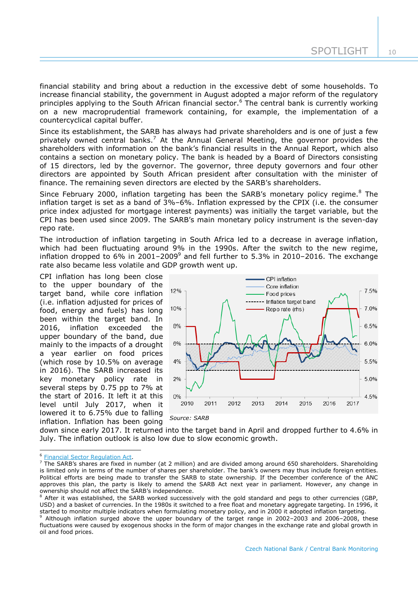financial stability and bring about a reduction in the excessive debt of some households. To increase financial stability, the government in August adopted a major reform of the regulatory principles applying to the South African financial sector.<sup>6</sup> The central bank is currently working on a new macroprudential framework containing, for example, the implementation of a countercyclical capital buffer.

Since its establishment, the SARB has always had private shareholders and is one of just a few privately owned central banks.<sup>7</sup> At the Annual General Meeting, the governor provides the shareholders with information on the bank's financial results in the Annual Report, which also contains a section on monetary policy. The bank is headed by a Board of Directors consisting of 15 directors, led by the governor. The governor, three deputy governors and four other directors are appointed by South African president after consultation with the minister of finance. The remaining seven directors are elected by the SARB's shareholders.

Since February 2000, inflation targeting has been the SARB's monetary policy regime.<sup>8</sup> The inflation target is set as a band of 3%–6%. Inflation expressed by the CPIX (i.e. the consumer price index adjusted for mortgage interest payments) was initially the target variable, but the CPI has been used since 2009. The SARB's main monetary policy instrument is the seven-day repo rate.

The introduction of inflation targeting in South Africa led to a decrease in average inflation, which had been fluctuating around 9% in the 1990s. After the switch to the new regime, inflation dropped to 6% in 2001–2009<sup>9</sup> and fell further to 5.3% in 2010–2016. The exchange rate also became less volatile and GDP growth went up.

CPI inflation has long been close to the upper boundary of the target band, while core inflation (i.e. inflation adjusted for prices of food, energy and fuels) has long been within the target band. In 2016, inflation exceeded the upper boundary of the band, due mainly to the impacts of a drought a year earlier on food prices (which rose by 10.5% on average in 2016). The SARB increased its key monetary policy rate in several steps by 0.75 pp to 7% at the start of 2016. It left it at this level until July 2017, when it lowered it to 6.75% due to falling inflation. Inflation has been going



down since early 2017. It returned into the target band in April and dropped further to 4.6% in July. The inflation outlook is also low due to slow economic growth.

-

<sup>6</sup> [Financial Sector Regulation Act.](https://www.resbank.co.za/Publications/Detail-Item-View/Pages/Publications.aspx?sarbweb=3b6aa07d-92ab-441f-b7bf-bb7dfb1bedb4&sarblist=21b5222e-7125-4e55-bb65-56fd3333371e&sarbitem=7948)

 $\frac{7}{1}$  The SARB's shares are fixed in number (at 2 million) and are divided among around 650 shareholders. Shareholding is limited only in terms of the number of shares per shareholder. The bank's owners may thus include foreign entities. Political efforts are being made to transfer the SARB to state ownership. If the December conference of the ANC approves this plan, the party is likely to amend the SARB Act next year in parliament. However, any change in ownership should not affect the SARB's independence.

<sup>&</sup>lt;sup>8</sup> After it was established, the SARB worked successively with the gold standard and pegs to other currencies (GBP, USD) and a basket of currencies. In the 1980s it switched to a free float and monetary aggregate targeting. In 1996, it started to monitor multiple indicators when formulating monetary policy, and in 2000 it adopted inflation targeting.

<sup>9</sup> Although inflation surged above the upper boundary of the target range in 2002–2003 and 2006–2008, these fluctuations were caused by exogenous shocks in the form of major changes in the exchange rate and global growth in oil and food prices.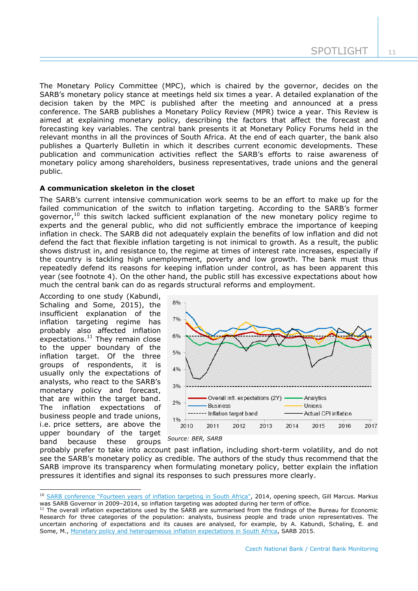The Monetary Policy Committee (MPC), which is chaired by the governor, decides on the SARB's monetary policy stance at meetings held six times a year. A detailed explanation of the decision taken by the MPC is published after the meeting and announced at a press conference. The SARB publishes a Monetary Policy Review (MPR) twice a year. This Review is aimed at explaining monetary policy, describing the factors that affect the forecast and forecasting key variables. The central bank presents it at Monetary Policy Forums held in the relevant months in all the provinces of South Africa. At the end of each quarter, the bank also publishes a Quarterly Bulletin in which it describes current economic developments. These publication and communication activities reflect the SARB's efforts to raise awareness of monetary policy among shareholders, business representatives, trade unions and the general public.

# **A communication skeleton in the closet**

The SARB's current intensive communication work seems to be an effort to make up for the failed communication of the switch to inflation targeting. According to the SARB's former governor,<sup>10</sup> this switch lacked sufficient explanation of the new monetary policy regime to experts and the general public, who did not sufficiently embrace the importance of keeping inflation in check. The SARB did not adequately explain the benefits of low inflation and did not defend the fact that flexible inflation targeting is not inimical to growth. As a result, the public shows distrust in, and resistance to, the regime at times of interest rate increases, especially if the country is tackling high unemployment, poverty and low growth. The bank must thus repeatedly defend its reasons for keeping inflation under control, as has been apparent this year (see footnote 4). On the other hand, the public still has excessive expectations about how much the central bank can do as regards structural reforms and employment.

According to one study (Kabundi, Schaling and Some, 2015), the insufficient explanation of the inflation targeting regime has probably also affected inflation expectations.<sup>11</sup> They remain close to the upper boundary of the inflation target. Of the three groups of respondents, it is usually only the expectations of analysts, who react to the SARB's monetary policy and forecast, that are within the target band. The inflation expectations of business people and trade unions, i.e. price setters, are above the upper boundary of the target band because these groups

-



*Source: BER, SARB*

probably prefer to take into account past inflation, including short-term volatility, and do not see the SARB's monetary policy as credible. The authors of the study thus recommend that the SARB improve its transparency when formulating monetary policy, better explain the inflation pressures it identifies and signal its responses to such pressures more clearly.

<sup>&</sup>lt;sup>10</sup> [SARB conference "Fourteen years of inflation targeting in South Africa"](http://www.aacb.org/sites/default/files/Fourteen%20Years%20of%20Inflation%20Targeting%20in%20South%20Africa%20and%20the%20Challenge%20of%20a%20Changing%20Mandate%20II.pdf), 2014, opening speech, Gill Marcus. Markus was SARB Governor in 2009–2014, so inflation targeting was adopted during her term of office.

 $11$  The overall inflation expectations used by the SARB are summarised from the findings of the Bureau for Economic Research for three categories of the population: analysts, business people and trade union representatives. The uncertain anchoring of expectations and its causes are analysed, for example, by A. Kabundi, Schaling, E. and Some, M., [Monetary policy and heterogeneous inflation expectations in South Africa,](http://www.aacb.org/sites/default/files/Fourteen%20Years%20of%20Inflation%20Targeting%20in%20South%20Africa%20and%20the%20Challenge%20of%20a%20Changing%20Mandate%20II.pdf) SARB 2015.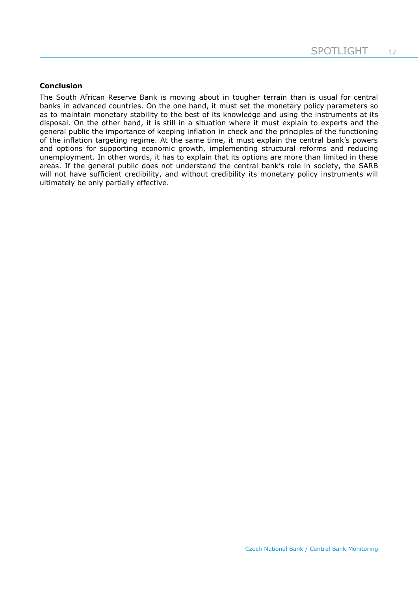# **Conclusion**

The South African Reserve Bank is moving about in tougher terrain than is usual for central banks in advanced countries. On the one hand, it must set the monetary policy parameters so as to maintain monetary stability to the best of its knowledge and using the instruments at its disposal. On the other hand, it is still in a situation where it must explain to experts and the general public the importance of keeping inflation in check and the principles of the functioning of the inflation targeting regime. At the same time, it must explain the central bank's powers and options for supporting economic growth, implementing structural reforms and reducing unemployment. In other words, it has to explain that its options are more than limited in these areas. If the general public does not understand the central bank's role in society, the SARB will not have sufficient credibility, and without credibility its monetary policy instruments will ultimately be only partially effective.